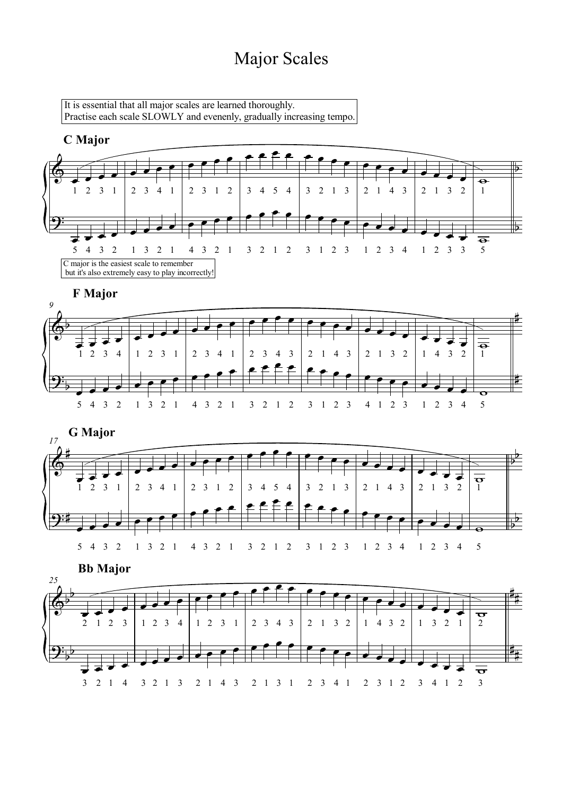## Major Scales

It is essential that all major scales are learned thoroughly. Practise each scale SLOWLY and evenenly, gradually increasing tempo.

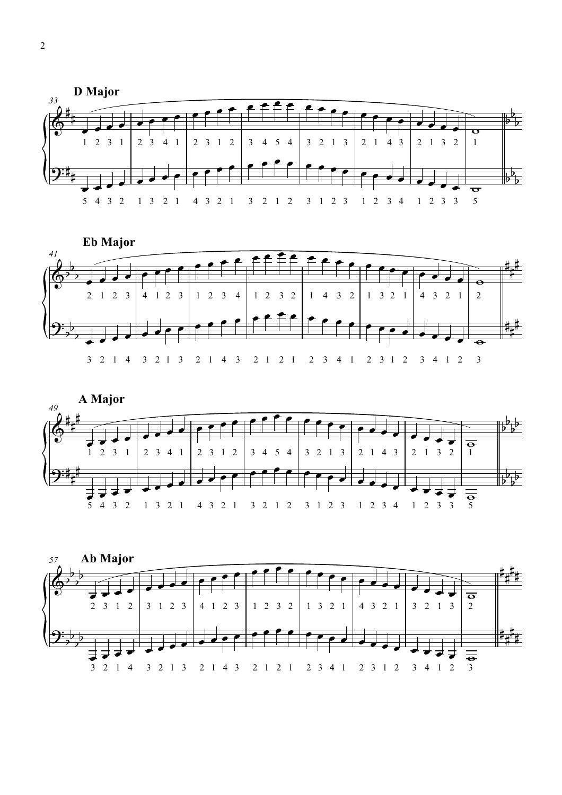